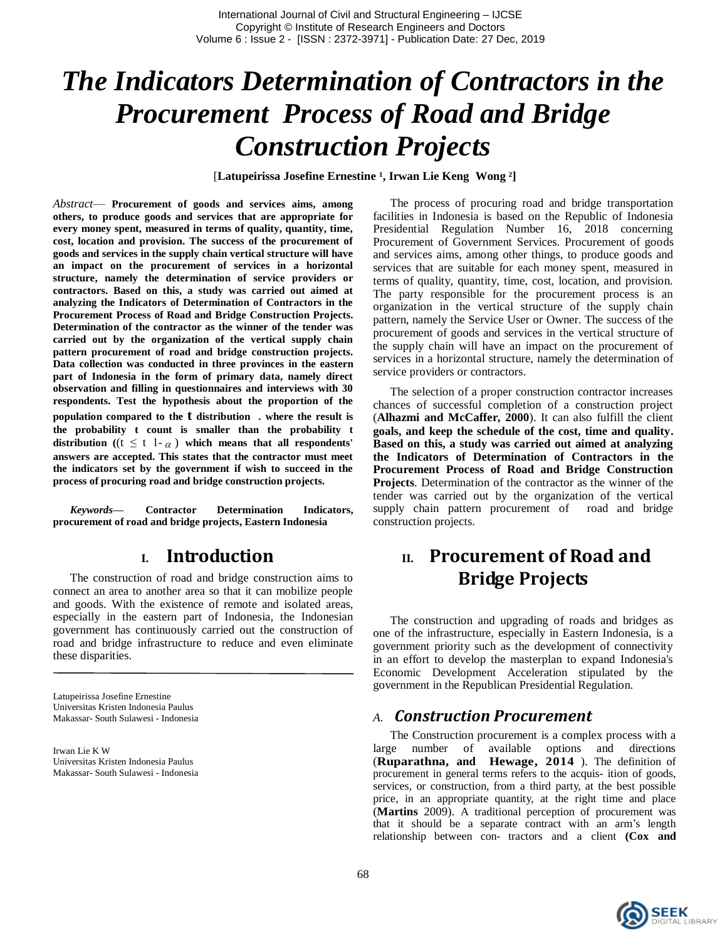# *The Indicators Determination of Contractors in the Procurement Process of Road and Bridge Construction Projects*

[Latupeirissa Josefine Ernestine<sup>1</sup>, Irwan Lie Keng Wong<sup>2</sup>]

*Abstract*— **Procurement of goods and services aims, among others, to produce goods and services that are appropriate for every money spent, measured in terms of quality, quantity, time, cost, location and provision. The success of the procurement of goods and services in the supply chain vertical structure will have an impact on the procurement of services in a horizontal structure, namely the determination of service providers or contractors. Based on this, a study was carried out aimed at analyzing the Indicators of Determination of Contractors in the Procurement Process of Road and Bridge Construction Projects. Determination of the contractor as the winner of the tender was carried out by the organization of the vertical supply chain pattern procurement of road and bridge construction projects. Data collection was conducted in three provinces in the eastern part of Indonesia in the form of primary data, namely direct observation and filling in questionnaires and interviews with 30 respondents. Test the hypothesis about the proportion of the population compared to the t distribution . where the result is the probability t count is smaller than the probability t**  distribution ( $(t \leq t \mid -\alpha)$ ) which means that all respondents' **answers are accepted. This states that the contractor must meet the indicators set by the government if wish to succeed in the process of procuring road and bridge construction projects.**

*Keywords—* **Contractor Determination Indicators, procurement of road and bridge projects, Eastern Indonesia**

### **I. Introduction**

The construction of road and bridge construction aims to connect an area to another area so that it can mobilize people and goods. With the existence of remote and isolated areas, especially in the eastern part of Indonesia, the Indonesian government has continuously carried out the construction of road and bridge infrastructure to reduce and even eliminate these disparities.

Latupeirissa Josefine Ernestine Universitas Kristen Indonesia Paulus Makassar- South Sulawesi - Indonesia

Irwan Lie K W Universitas Kristen Indonesia Paulus Makassar- South Sulawesi - Indonesia

The process of procuring road and bridge transportation facilities in Indonesia is based on the Republic of Indonesia Presidential Regulation Number 16, 2018 concerning Procurement of Government Services. Procurement of goods and services aims, among other things, to produce goods and services that are suitable for each money spent, measured in terms of quality, quantity, time, cost, location, and provision. The party responsible for the procurement process is an organization in the vertical structure of the supply chain pattern, namely the Service User or Owner. The success of the procurement of goods and services in the vertical structure of the supply chain will have an impact on the procurement of services in a horizontal structure, namely the determination of service providers or contractors.

The selection of a proper construction contractor increases chances of successful completion of a construction project (**Alhazmi and McCaffer, 2000**). It can also fulfill the client **goals, and keep the schedule of the cost, time and quality. Based on this, a study was carried out aimed at analyzing the Indicators of Determination of Contractors in the Procurement Process of Road and Bridge Construction Projects**. Determination of the contractor as the winner of the tender was carried out by the organization of the vertical supply chain pattern procurement of road and bridge construction projects.

# **II. Procurement of Road and Bridge Projects**

The construction and upgrading of roads and bridges as one of the infrastructure, especially in Eastern Indonesia, is a government priority such as the development of connectivity in an effort to develop the masterplan to expand Indonesia's Economic Development Acceleration stipulated by the government in the Republican Presidential Regulation.

#### *A. Construction Procurement*

The Construction procurement is a complex process with a large number of available options and directions (**Ruparathna, and Hewage, 2014** ). The definition of procurement in general terms refers to the acquis- ition of goods, services, or construction, from a third party, at the best possible price, in an appropriate quantity, at the right time and place (**Martins** 2009). A traditional perception of procurement was that it should be a separate contract with an arm's length relationship between con- tractors and a client **(Cox and**

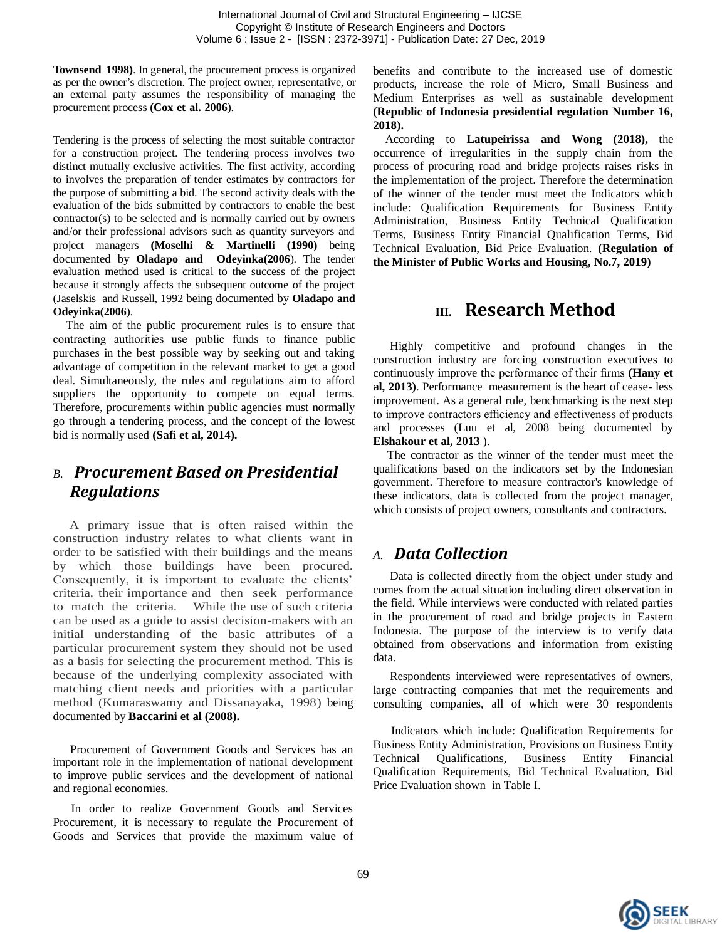**Townsend 1998)**. In general, the procurement process is organized as per the owner's discretion. The project owner, representative, or an external party assumes the responsibility of managing the procurement process **(Cox et al. 2006**).

Tendering is the process of selecting the most suitable contractor for a construction project. The tendering process involves two distinct mutually exclusive activities. The first activity, according to involves the preparation of tender estimates by contractors for the purpose of submitting a bid. The second activity deals with the evaluation of the bids submitted by contractors to enable the best contractor(s) to be selected and is normally carried out by owners and/or their professional advisors such as quantity surveyors and project managers **(Moselhi & Martinelli (1990)** being documented by **Oladapo and Odeyinka(2006**). The tender evaluation method used is critical to the success of the project because it strongly affects the subsequent outcome of the project (Jaselskis and Russell, 1992 being documented by **Oladapo and Odeyinka(2006**).

 The aim of the public procurement rules is to ensure that contracting authorities use public funds to finance public purchases in the best possible way by seeking out and taking advantage of competition in the relevant market to get a good deal. Simultaneously, the rules and regulations aim to afford suppliers the opportunity to compete on equal terms. Therefore, procurements within public agencies must normally go through a tendering process, and the concept of the lowest bid is normally used **(Safi et al, 2014).**

## *B. Procurement Based on Presidential Regulations*

 A primary issue that is often raised within the construction industry relates to what clients want in order to be satisfied with their buildings and the means by which those buildings have been procured. Consequently, it is important to evaluate the clients' criteria, their importance and then seek performance to match the criteria. While the use of such criteria can be used as a guide to assist decision-makers with an initial understanding of the basic attributes of a particular procurement system they should not be used as a basis for selecting the procurement method. This is because of the underlying complexity associated with matching client needs and priorities with a particular method (Kumaraswamy and Dissanayaka, 1998) being documented by **Baccarini et al (2008).**

Procurement of Government Goods and Services has an important role in the implementation of national development to improve public services and the development of national and regional economies.

 In order to realize Government Goods and Services Procurement, it is necessary to regulate the Procurement of Goods and Services that provide the maximum value of benefits and contribute to the increased use of domestic products, increase the role of Micro, Small Business and Medium Enterprises as well as sustainable development **(Republic of Indonesia presidential regulation Number 16, 2018).**

According to **Latupeirissa and Wong (2018),** the occurrence of irregularities in the supply chain from the process of procuring road and bridge projects raises risks in the implementation of the project. Therefore the determination of the winner of the tender must meet the Indicators which include: Qualification Requirements for Business Entity Administration, Business Entity Technical Qualification Terms, Business Entity Financial Qualification Terms, Bid Technical Evaluation, Bid Price Evaluation. **(Regulation of the Minister of Public Works and Housing, No.7, 2019)**

# **III. Research Method**

Highly competitive and profound changes in the construction industry are forcing construction executives to continuously improve the performance of their firms **(Hany et al, 2013)**. Performance measurement is the heart of cease- less improvement. As a general rule, benchmarking is the next step to improve contractors efficiency and effectiveness of products and processes (Luu et al, 2008 being documented by **Elshakour et al, 2013** ).

 The contractor as the winner of the tender must meet the qualifications based on the indicators set by the Indonesian government. Therefore to measure contractor's knowledge of these indicators, data is collected from the project manager, which consists of project owners, consultants and contractors.

## *A. Data Collection*

Data is collected directly from the object under study and comes from the actual situation including direct observation in the field. While interviews were conducted with related parties in the procurement of road and bridge projects in Eastern Indonesia. The purpose of the interview is to verify data obtained from observations and information from existing data.

Respondents interviewed were representatives of owners, large contracting companies that met the requirements and consulting companies, all of which were 30 respondents

 Indicators which include: Qualification Requirements for Business Entity Administration, Provisions on Business Entity Technical Qualifications, Business Entity Financial Qualification Requirements, Bid Technical Evaluation, Bid Price Evaluation shown in Table I.

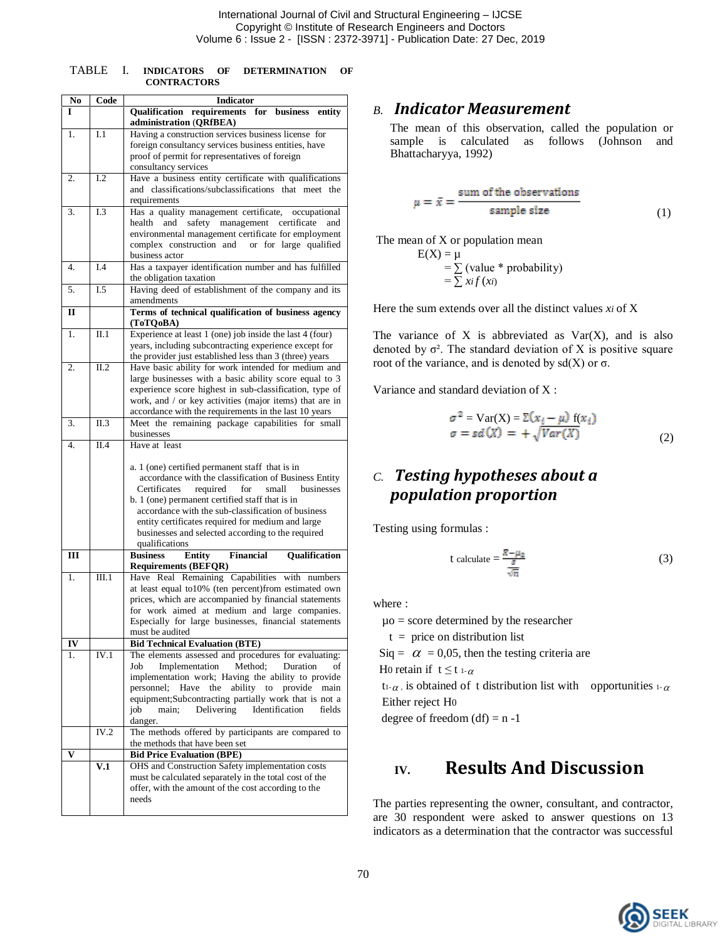| <b>TABLE</b> |                    | <b>INDICATORS</b> | OF | <b>DETERMINATION</b> |  |
|--------------|--------------------|-------------------|----|----------------------|--|
|              | <b>CONTRACTORS</b> |                   |    |                      |  |

| No           | Code  | <b>Indicator</b>                                                                                                   |
|--------------|-------|--------------------------------------------------------------------------------------------------------------------|
| I            |       | Qualification requirements for business<br>entity                                                                  |
|              |       | administration (QRfBEA)                                                                                            |
| 1.           | I.1   | Having a construction services business license for                                                                |
|              |       | foreign consultancy services business entities, have                                                               |
|              |       | proof of permit for representatives of foreign                                                                     |
| 2.           | 1.2   | consultancy services                                                                                               |
|              |       | Have a business entity certificate with qualifications<br>and classifications/subclassifications that meet the     |
|              |       | requirements                                                                                                       |
| 3.           | I.3   | Has a quality management certificate, occupational                                                                 |
|              |       | and safety management certificate<br>health<br>and                                                                 |
|              |       | environmental management certificate for employment                                                                |
|              |       | complex construction and or for large qualified                                                                    |
|              |       | business actor                                                                                                     |
| 4.           | I.4   | Has a taxpayer identification number and has fulfilled                                                             |
|              |       | the obligation taxation                                                                                            |
| 5.           | I.5   | Having deed of establishment of the company and its<br>amendments                                                  |
| $\mathbf{I}$ |       | Terms of technical qualification of business agency                                                                |
|              |       | (ToTOoBA)                                                                                                          |
| 1.           | II.1  | Experience at least 1 (one) job inside the last 4 (four)                                                           |
|              |       | years, including subcontracting experience except for                                                              |
|              |       | the provider just established less than 3 (three) years                                                            |
| 2.           | II.2  | Have basic ability for work intended for medium and                                                                |
|              |       | large businesses with a basic ability score equal to 3                                                             |
|              |       | experience score highest in sub-classification, type of<br>work, and / or key activities (major items) that are in |
|              |       | accordance with the requirements in the last 10 years                                                              |
| 3.           | II.3  | Meet the remaining package capabilities for small                                                                  |
|              |       | businesses                                                                                                         |
| 4.           | II.4  | Have at least                                                                                                      |
|              |       |                                                                                                                    |
|              |       | a. 1 (one) certified permanent staff that is in                                                                    |
|              |       | accordance with the classification of Business Entity<br>required<br>businesses<br>Certificates<br>for<br>small    |
|              |       | b. 1 (one) permanent certified staff that is in                                                                    |
|              |       | accordance with the sub-classification of business                                                                 |
|              |       | entity certificates required for medium and large                                                                  |
|              |       | businesses and selected according to the required                                                                  |
|              |       | qualifications                                                                                                     |
| Ш            |       | <b>Business</b><br><b>Entity</b><br>Financial<br>Qualification                                                     |
| 1.           | III.1 | <b>Requirements (BEFQR)</b><br>Have Real Remaining Capabilities with numbers                                       |
|              |       | at least equal to 10% (ten percent) from estimated own                                                             |
|              |       | prices, which are accompanied by financial statements                                                              |
|              |       | for work aimed at medium and large companies.                                                                      |
|              |       | Especially for large businesses, financial statements                                                              |
|              |       | must be audited                                                                                                    |
| IV           |       | <b>Bid Technical Evaluation (BTE)</b>                                                                              |
| 1.           | IV.1  | The elements assessed and procedures for evaluating:<br>Implementation<br>Method:<br>Job<br>Duration<br>of         |
|              |       | implementation work; Having the ability to provide                                                                 |
|              |       | personnel; Have the<br>ability to provide<br>main                                                                  |
|              |       | equipment;Subcontracting partially work that is not a                                                              |
|              |       | Delivering<br>Identification<br>job<br>main;<br>fields                                                             |
|              |       | danger.                                                                                                            |
|              | IV.2  | The methods offered by participants are compared to                                                                |
|              |       | the methods that have been set<br><b>Bid Price Evaluation (BPE)</b>                                                |
|              | V.1   | OHS and Construction Safety implementation costs                                                                   |
|              |       | must be calculated separately in the total cost of the                                                             |
|              |       | offer, with the amount of the cost according to the                                                                |
|              |       | needs                                                                                                              |
|              |       |                                                                                                                    |

#### *B. Indicator Measurement*

The mean of this observation, called the population or sample is calculated as follows (Johnson and Bhattacharyya, 1992)

$$
\mu = \bar{x} = \frac{\text{sum of the observations}}{\text{sample size}} \tag{1}
$$

The mean of X or population mean

 $E(X) = \mu$  $= \sum$  (value \* probability)  $=\sum xif(x)$ 

Here the sum extends over all the distinct values *xi* of X

The variance of  $X$  is abbreviated as  $Var(X)$ , and is also denoted by  $\sigma^2$ . The standard deviation of X is positive square root of the variance, and is denoted by sd(X) or  $\sigma$ .

Variance and standard deviation of X :

$$
\sigma^{2} = \text{Var}(X) = \Sigma(x_{i} - \mu) f(x_{i})
$$
  

$$
\sigma = sd(X) = +\sqrt{Var(X)}
$$
 (2)

## *C. Testing hypotheses about a population proportion*

Testing using formulas :

t calculate 
$$
=\frac{\bar{x} - \mu_0}{\frac{s}{\sqrt{n}}}
$$
 (3)

where :

µo = score determined by the researcher

 $t =$  price on distribution list

 $\text{Siq} = \alpha = 0.05$ , then the testing criteria are H0 retain if  $t \le t$  1- $\alpha$ 

t<sub>1- $\alpha$ </sub>, is obtained of t distribution list with opportunities 1- $\alpha$ Either reject H0

degree of freedom  $(df) = n - 1$ 

# **IV. Results And Discussion**

The parties representing the owner, consultant, and contractor, are 30 respondent were asked to answer questions on 13 indicators as a determination that the contractor was successful

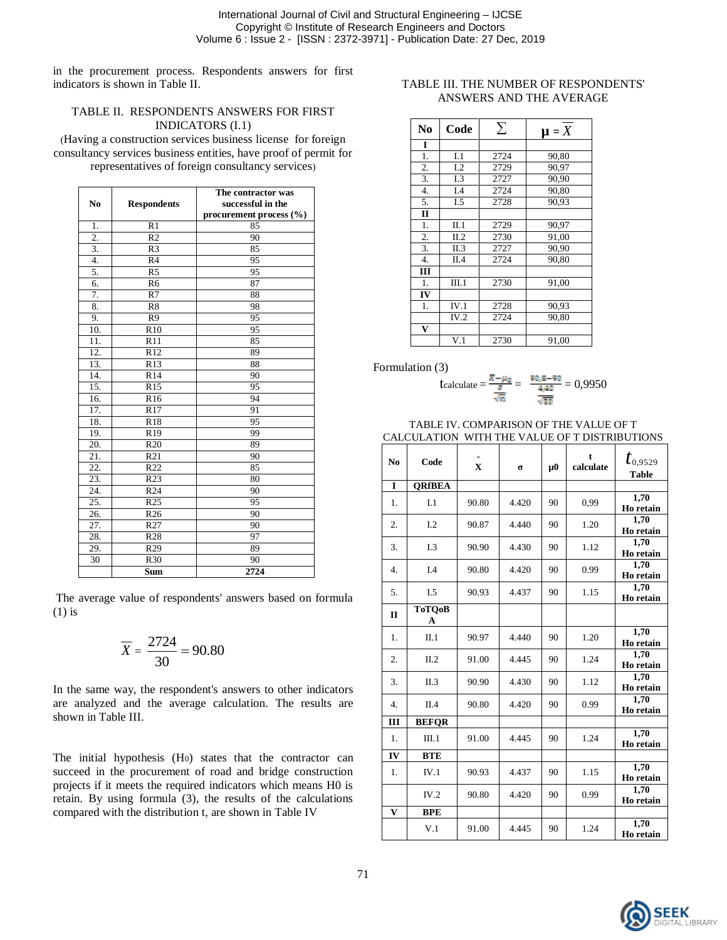International Journal of Civil and Structural Engineering – IJCSE Copyright © Institute of Research Engineers and Doctors Volume 6 : Issue 2 - [ISSN : 2372-3971] - Publication Date: 27 Dec, 2019

in the procurement process. Respondents answers for first indicators is shown in Table II.

#### TABLE II. RESPONDENTS ANSWERS FOR FIRST INDICATORS (I.1)

(Having a construction services business license for foreign consultancy services business entities, have proof of permit for representatives of foreign consultancy services)

| No                | <b>Respondents</b> | The contractor was<br>successful in the<br>procurement process $(\% )$ |  |  |
|-------------------|--------------------|------------------------------------------------------------------------|--|--|
| 1.                | R <sub>1</sub>     | 85                                                                     |  |  |
| 2.                | R <sub>2</sub>     | 90                                                                     |  |  |
| 3.                | R <sub>3</sub>     | 85                                                                     |  |  |
| 4.                | R <sub>4</sub>     | 95                                                                     |  |  |
| 5.                | $\overline{R5}$    | 95                                                                     |  |  |
| 6.                | R <sub>6</sub>     | 87                                                                     |  |  |
| 7.                | R7                 | 88                                                                     |  |  |
| 8.                | R8                 | 98                                                                     |  |  |
| 9.                | R <sub>9</sub>     | 95                                                                     |  |  |
| 10.               | R10                | 95                                                                     |  |  |
| 11.               | R11                | 85                                                                     |  |  |
| $\overline{12}$ . | R12                | 89                                                                     |  |  |
| 13.               | R <sub>13</sub>    | 88                                                                     |  |  |
| 14.               | R <sub>14</sub>    | 90                                                                     |  |  |
| 15.               | R <sub>15</sub>    | 95                                                                     |  |  |
| 16.               | R <sub>16</sub>    | 94                                                                     |  |  |
| 17.               | R17                | 91                                                                     |  |  |
| 18.               | R <sub>18</sub>    | 95                                                                     |  |  |
| 19.               | R <sub>19</sub>    | 99                                                                     |  |  |
| 20.               | R <sub>20</sub>    | 89                                                                     |  |  |
| 21.               | R <sub>21</sub>    | 90                                                                     |  |  |
| 22.               | R <sub>22</sub>    | 85                                                                     |  |  |
| 23.               | R <sub>23</sub>    | 80                                                                     |  |  |
| 24.               | R <sub>24</sub>    | 90                                                                     |  |  |
| 25.               | R <sub>25</sub>    | 95                                                                     |  |  |
| 26.               | R <sub>26</sub>    | 90                                                                     |  |  |
| 27.               | R <sub>27</sub>    | 90                                                                     |  |  |
| 28.               | R <sub>28</sub>    | 97                                                                     |  |  |
| 29.               | R <sub>29</sub>    | 89                                                                     |  |  |
| $\overline{30}$   | R30                | 90                                                                     |  |  |
|                   | Sum                | $\overline{2724}$                                                      |  |  |

The average value of respondents' answers based on formula (1) is

$$
\overline{X} = \frac{2724}{30} = 90.80
$$

In the same way, the respondent's answers to other indicators are analyzed and the average calculation. The results are shown in Table III.

The initial hypothesis (H0) states that the contractor can succeed in the procurement of road and bridge construction projects if it meets the required indicators which means H0 is retain. By using formula (3), the results of the calculations compared with the distribution t, are shown in Table IV

#### TABLE III. THE NUMBER OF RESPONDENTS' ANSWERS AND THE AVERAGE

| No               | Code  | $\sum$ | $\mu = X$ |  |
|------------------|-------|--------|-----------|--|
| I                |       |        |           |  |
| 1.               | I.1   | 2724   | 90,80     |  |
| 2.               | 1.2   | 2729   | 90,97     |  |
| 3.               | I.3   | 2727   | 90.90     |  |
| $\overline{4}$ . | I.4   | 2724   | 90,80     |  |
| 5.               | I.5   | 2728   | 90,93     |  |
| $\mathbf{I}$     |       |        |           |  |
| 1.               | II.1  | 2729   | 90,97     |  |
| 2.               | II.2  | 2730   | 91,00     |  |
| $\overline{3}$ . | II.3  | 2727   | 90,90     |  |
| $\overline{4}$ . | II.4  | 2724   | 90.80     |  |
| Ш                |       |        |           |  |
| 1.               | III.1 | 2730   | 91,00     |  |
| IV               |       |        |           |  |
| 1.               | IV.1  | 2728   | 90,93     |  |
|                  | IV.2  | 2724   | 90.80     |  |
| $\mathbf{V}$     |       |        |           |  |
|                  | V.1   | 2730   | 91.00     |  |

Formulation (3)

$$
\text{t} = \frac{\bar{x} - \mu_0}{\frac{s}{\sqrt{n}}} = \frac{90,8 - 90}{\frac{4,42}{\sqrt{30}}} = 0,9950
$$

#### TABLE IV. COMPARISON OF THE VALUE OF T CALCULATION WITH THE VALUE OF T DISTRIBUTIONS

| N <sub>0</sub>   | Code               | $\mathbf{x}$ | $\sigma$ | $\mu$ 0 | t<br>calculate | $t_{\tiny{0,9529}}$<br><b>Table</b> |
|------------------|--------------------|--------------|----------|---------|----------------|-------------------------------------|
| L                | <b>ORfBEA</b>      |              |          |         |                |                                     |
| 1.               | L1                 | 90.80        | 4.420    | 90      | 0,99           | 1,70<br>Ho retain                   |
| 2.               | L <sub>2</sub>     | 90.87        | 4.440    | 90      | 1.20           | 1,70<br>Ho retain                   |
| 3.               | I.3                | 90.90        | 4.430    | 90      | 1.12           | $\overline{1.70}$<br>Ho retain      |
| $\overline{4}$ . | I.4                | 90.80        | 4.420    | 90      | 0.99           | 1,70<br>Ho retain                   |
| 5.               | I.5                | 90.93        | 4.437    | 90      | 1.15           | 1,70<br>Ho retain                   |
| $\mathbf{I}$     | <b>ToTQoB</b><br>A |              |          |         |                |                                     |
| 1.               | $\Pi.1$            | 90.97        | 4.440    | 90      | 1.20           | 1,70<br>Ho retain                   |
| 2.               | II.2               | 91.00        | 4.445    | 90      | 1.24           | 1,70<br>Ho retain                   |
| 3.               | II.3               | 90.90        | 4.430    | 90      | 1.12           | 1,70<br>Ho retain                   |
| 4.               | II.4               | 90.80        | 4.420    | 90      | 0.99           | 1.70<br>Ho retain                   |
| Ш                | <b>BEFOR</b>       |              |          |         |                |                                     |
| 1.               | III.1              | 91.00        | 4.445    | 90      | 1.24           | 1,70<br>Ho retain                   |
| IV               | <b>BTE</b>         |              |          |         |                |                                     |
| 1.               | IV.1               | 90.93        | 4.437    | 90      | 1.15           | 1,70<br>Ho retain                   |
|                  | IV.2               | 90.80        | 4.420    | 90      | 0.99           | 1,70<br>Ho retain                   |
| $\mathbf{V}$     | <b>BPE</b>         |              |          |         |                |                                     |
|                  | V.1                | 91.00        | 4.445    | 90      | 1.24           | 1,70<br>Ho retain                   |